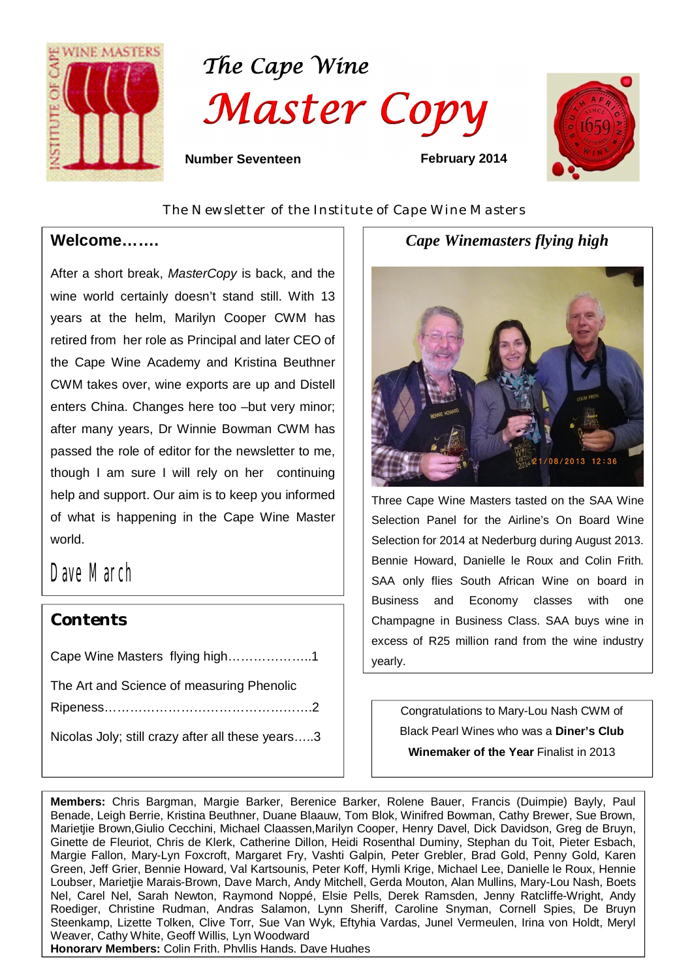





 **Number Seventeen February 2014** 

*The Newsletter of the Institute of Cape Wine Masters*

### **Welcome…….**

 $\overline{a}$ 

After a short break, *MasterCopy* is back, and the wine world certainly doesn't stand still. With 13 years at the helm, Marilyn Cooper CWM has retired from her role as Principal and later CEO of the Cape Wine Academy and Kristina Beuthner CWM takes over, wine exports are up and Distell enters China. Changes here too –but very minor; after many years, Dr Winnie Bowman CWM has passed the role of editor for the newsletter to me, though I am sure I will rely on her continuing help and support. Our aim is to keep you informed of what is happening in the Cape Wine Master world.

# Dave March

# *Contents*

Cape Wine Masters flying high………………..1

The Art and Science of measuring Phenolic

Ripeness………………………………………….2

Nicolas Joly; still crazy after all these years…..3

*Cape Winemasters flying high*



Three Cape Wine Masters tasted on the SAA Wine Selection Panel for the Airline's On Board Wine Selection for 2014 at Nederburg during August 2013. Bennie Howard, Danielle le Roux and Colin Frith. SAA only flies South African Wine on board in Business and Economy classes with one Champagne in Business Class. SAA buys wine in excess of R25 million rand from the wine industry yearly.

Congratulations to Mary-Lou Nash CWM of Black Pearl Wines who was a **Diner's Club Winemaker of the Year** Finalist in 2013

**Members:** Chris Bargman, Margie Barker, Berenice Barker, Rolene Bauer, Francis (Duimpie) Bayly, Paul Benade, Leigh Berrie, Kristina Beuthner, Duane Blaauw, Tom Blok, Winifred Bowman, Cathy Brewer, Sue Brown, Marietjie Brown,Giulio Cecchini, Michael Claassen,Marilyn Cooper, Henry Davel, Dick Davidson, Greg de Bruyn, Ginette de Fleuriot, Chris de Klerk, Catherine Dillon, Heidi Rosenthal Duminy, Stephan du Toit, Pieter Esbach, Margie Fallon, Mary-Lyn Foxcroft, Margaret Fry, Vashti Galpin, Peter Grebler, Brad Gold, Penny Gold, Karen Green, Jeff Grier, Bennie Howard, Val Kartsounis, Peter Koff, Hymli Krige, Michael Lee, Danielle le Roux, Hennie Loubser, Marietjie Marais-Brown, Dave March, Andy Mitchell, Gerda Mouton, Alan Mullins, Mary-Lou Nash, Boets Nel, Carel Nel, Sarah Newton, Raymond Noppé, Elsie Pells, Derek Ramsden, Jenny Ratcliffe-Wright, Andy Roediger, Christine Rudman, Andras Salamon, Lynn Sheriff, Caroline Snyman, Cornell Spies, De Bruyn Steenkamp, Lizette Tolken, Clive Torr, Sue Van Wyk, Eftyhia Vardas, Junel Vermeulen, Irina von Holdt, Meryl Weaver, Cathy White, Geoff Willis, Lyn Woodward

**Honorary Members:** Colin Frith, Phyllis Hands, Dave Hughes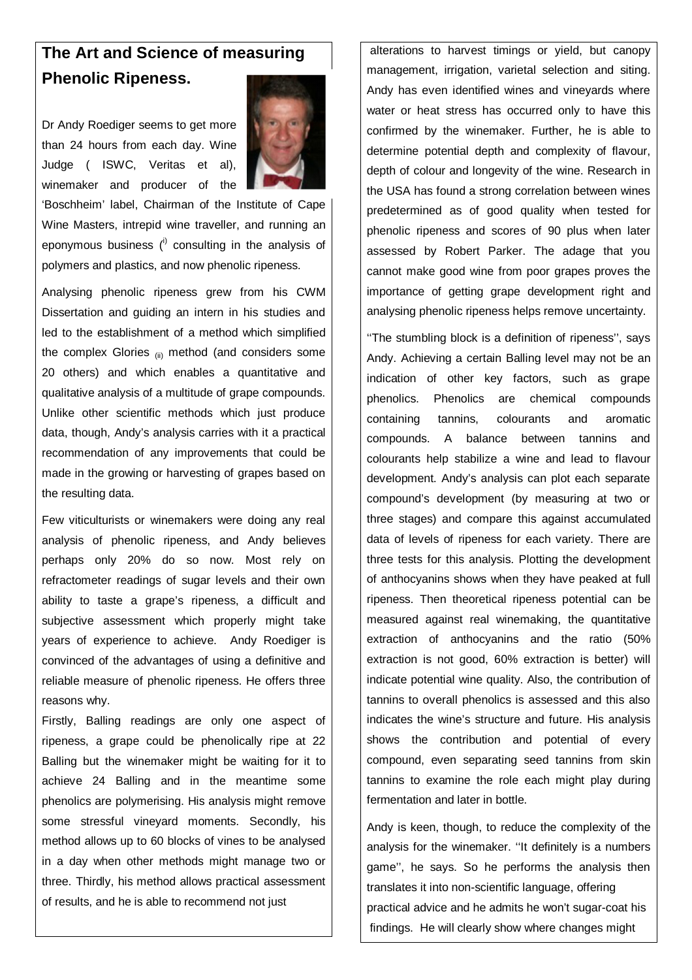# **The Art and Science of measuring Phenolic Ripeness.**

Dr Andy Roediger seems to get more than 24 hours from each day. Wine Judge ( ISWC, Veritas et al), winemaker and producer of the



'Boschheim' label, Chairman of the Institute of Cape Wine Masters, intrepid wine traveller, and running an eponymous business  $(1)$  consulting in the analysis of polymers and plastics, and now phenolic ripeness.

Analysing phenolic ripeness grew from his CWM Dissertation and guiding an intern in his studies and led to the establishment of a method which simplified the complex Glories  $_{\text{(ii)}}$  method (and considers some 20 others) and which enables a quantitative and qualitative analysis of a multitude of grape compounds. Unlike other scientific methods which just produce data, though, Andy's analysis carries with it a practical recommendation of any improvements that could be made in the growing or harvesting of grapes based on the resulting data.

Few viticulturists or winemakers were doing any real analysis of phenolic ripeness, and Andy believes perhaps only 20% do so now. Most rely on refractometer readings of sugar levels and their own ability to taste a grape's ripeness, a difficult and subjective assessment which properly might take years of experience to achieve. Andy Roediger is convinced of the advantages of using a definitive and reliable measure of phenolic ripeness. He offers three reasons why.

Firstly, Balling readings are only one aspect of ripeness, a grape could be phenolically ripe at 22 Balling but the winemaker might be waiting for it to achieve 24 Balling and in the meantime some phenolics are polymerising. His analysis might remove some stressful vineyard moments. Secondly, his method allows up to 60 blocks of vines to be analysed in a day when other methods might manage two or three. Thirdly, his method allows practical assessment of results, and he is able to recommend not just

alterations to harvest timings or yield, but canopy management, irrigation, varietal selection and siting. Andy has even identified wines and vineyards where water or heat stress has occurred only to have this confirmed by the winemaker. Further, he is able to determine potential depth and complexity of flavour, depth of colour and longevity of the wine. Research in the USA has found a strong correlation between wines predetermined as of good quality when tested for phenolic ripeness and scores of 90 plus when later assessed by Robert Parker. The adage that you cannot make good wine from poor grapes proves the importance of getting grape development right and analysing phenolic ripeness helps remove uncertainty.

''The stumbling block is a definition of ripeness'', says Andy. Achieving a certain Balling level may not be an indication of other key factors, such as grape phenolics. Phenolics are chemical compounds containing tannins, colourants and aromatic compounds. A balance between tannins and colourants help stabilize a wine and lead to flavour development. Andy's analysis can plot each separate compound's development (by measuring at two or three stages) and compare this against accumulated data of levels of ripeness for each variety. There are three tests for this analysis. Plotting the development of anthocyanins shows when they have peaked at full ripeness. Then theoretical ripeness potential can be measured against real winemaking, the quantitative extraction of anthocyanins and the ratio (50% extraction is not good, 60% extraction is better) will indicate potential wine quality. Also, the contribution of tannins to overall phenolics is assessed and this also indicates the wine's structure and future. His analysis shows the contribution and potential of every compound, even separating seed tannins from skin tannins to examine the role each might play during fermentation and later in bottle.

Andy is keen, though, to reduce the complexity of the analysis for the winemaker. ''It definitely is a numbers game'', he says. So he performs the analysis then translates it into non-scientific language, offering practical advice and he admits he won't sugar-coat his findings. He will clearly show where changes might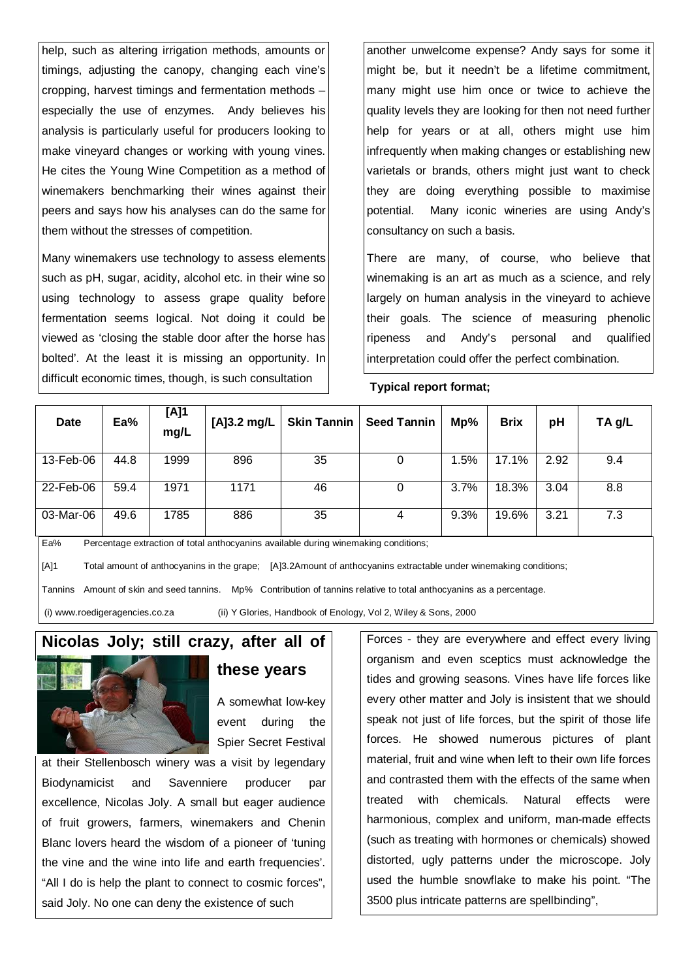help, such as altering irrigation methods, amounts or timings, adjusting the canopy, changing each vine's cropping, harvest timings and fermentation methods – especially the use of enzymes. Andy believes his analysis is particularly useful for producers looking to make vineyard changes or working with young vines. He cites the Young Wine Competition as a method of winemakers benchmarking their wines against their peers and says how his analyses can do the same for them without the stresses of competition.

Many winemakers use technology to assess elements such as pH, sugar, acidity, alcohol etc. in their wine so using technology to assess grape quality before fermentation seems logical. Not doing it could be viewed as 'closing the stable door after the horse has bolted'. At the least it is missing an opportunity. In difficult economic times, though, is such consultation

another unwelcome expense? Andy says for some it might be, but it needn't be a lifetime commitment, many might use him once or twice to achieve the quality levels they are looking for then not need further help for years or at all, others might use him infrequently when making changes or establishing new varietals or brands, others might just want to check they are doing everything possible to maximise potential. Many iconic wineries are using Andy's consultancy on such a basis.

There are many, of course, who believe that winemaking is an art as much as a science, and rely largely on human analysis in the vineyard to achieve their goals. The science of measuring phenolic ripeness and Andy's personal and qualified interpretation could offer the perfect combination.

#### **Typical report format;**

| Date      | Ea%  | [A]1<br>mg/L | [A] $3.2 \text{ mg/L}$ |    | Skin Tannin   Seed Tannin | Mp%  | <b>Brix</b> | рH   | TA g/L |
|-----------|------|--------------|------------------------|----|---------------------------|------|-------------|------|--------|
| 13-Feb-06 | 44.8 | 1999         | 896                    | 35 | 0                         | 1.5% | 17.1%       | 2.92 | 9.4    |
| 22-Feb-06 | 59.4 | 1971         | 1171                   | 46 | 0                         | 3.7% | 18.3%       | 3.04 | 8.8    |
| 03-Mar-06 | 49.6 | 1785         | 886                    | 35 | 4                         | 9.3% | 19.6%       | 3.21 | 7.3    |

Ea% Percentage extraction of total anthocyanins available during winemaking conditions;

[A]1 Total amount of anthocyanins in the grape; [A]3.2Amount of anthocyanins extractable under winemaking conditions;

Tannins Amount of skin and seed tannins. Mp% Contribution of tannins relative to total anthocyanins as a percentage.

(i) www.roedigeragencies.co.za (ii) Y Glories, Handbook of Enology, Vol 2, Wiley & Sons, 2000

## **Nicolas Joly; still crazy, after all of**



#### **these years**

A somewhat low-key event during the Spier Secret Festival

at their Stellenbosch winery was a visit by legendary Biodynamicist and Savenniere producer par excellence, Nicolas Joly. A small but eager audience of fruit growers, farmers, winemakers and Chenin Blanc lovers heard the wisdom of a pioneer of 'tuning the vine and the wine into life and earth frequencies'. "All I do is help the plant to connect to cosmic forces", said Joly. No one can deny the existence of such

Forces - they are everywhere and effect every living organism and even sceptics must acknowledge the tides and growing seasons. Vines have life forces like every other matter and Joly is insistent that we should speak not just of life forces, but the spirit of those life forces. He showed numerous pictures of plant material, fruit and wine when left to their own life forces and contrasted them with the effects of the same when treated with chemicals. Natural effects were harmonious, complex and uniform, man-made effects (such as treating with hormones or chemicals) showed distorted, ugly patterns under the microscope. Joly used the humble snowflake to make his point. "The 3500 plus intricate patterns are spellbinding",